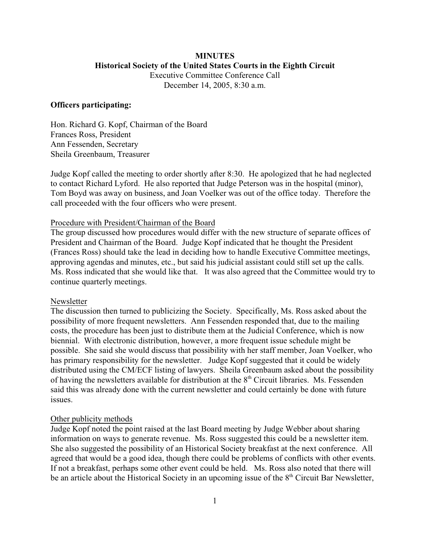# **MINUTES Historical Society of the United States Courts in the Eighth Circuit** Executive Committee Conference Call

December 14, 2005, 8:30 a.m.

### **Officers participating:**

Hon. Richard G. Kopf, Chairman of the Board Frances Ross, President Ann Fessenden, Secretary Sheila Greenbaum, Treasurer

Judge Kopf called the meeting to order shortly after 8:30. He apologized that he had neglected to contact Richard Lyford. He also reported that Judge Peterson was in the hospital (minor), Tom Boyd was away on business, and Joan Voelker was out of the office today. Therefore the call proceeded with the four officers who were present.

#### Procedure with President/Chairman of the Board

The group discussed how procedures would differ with the new structure of separate offices of President and Chairman of the Board. Judge Kopf indicated that he thought the President (Frances Ross) should take the lead in deciding how to handle Executive Committee meetings, approving agendas and minutes, etc., but said his judicial assistant could still set up the calls. Ms. Ross indicated that she would like that. It was also agreed that the Committee would try to continue quarterly meetings.

#### Newsletter

The discussion then turned to publicizing the Society. Specifically, Ms. Ross asked about the possibility of more frequent newsletters. Ann Fessenden responded that, due to the mailing costs, the procedure has been just to distribute them at the Judicial Conference, which is now biennial. With electronic distribution, however, a more frequent issue schedule might be possible. She said she would discuss that possibility with her staff member, Joan Voelker, who has primary responsibility for the newsletter. Judge Kopf suggested that it could be widely distributed using the CM/ECF listing of lawyers. Sheila Greenbaum asked about the possibility of having the newsletters available for distribution at the  $8<sup>th</sup>$  Circuit libraries. Ms. Fessenden said this was already done with the current newsletter and could certainly be done with future issues.

#### Other publicity methods

Judge Kopf noted the point raised at the last Board meeting by Judge Webber about sharing information on ways to generate revenue. Ms. Ross suggested this could be a newsletter item. She also suggested the possibility of an Historical Society breakfast at the next conference. All agreed that would be a good idea, though there could be problems of conflicts with other events. If not a breakfast, perhaps some other event could be held. Ms. Ross also noted that there will be an article about the Historical Society in an upcoming issue of the  $8<sup>th</sup>$  Circuit Bar Newsletter,